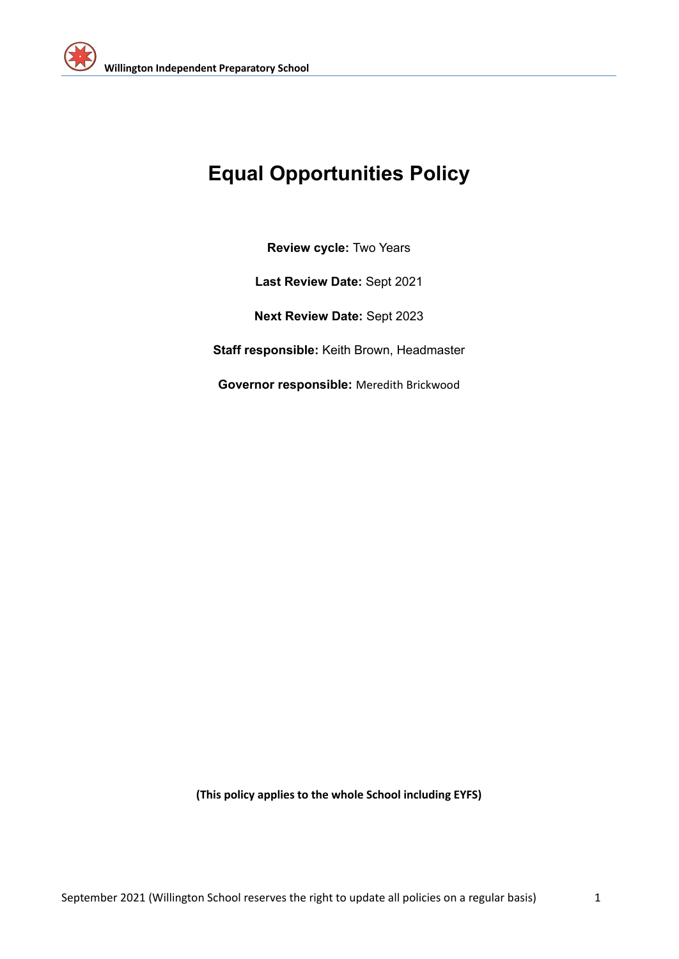

# **Equal Opportunities Policy**

**Review cycle:** Two Years

**Last Review Date:** Sept 2021

**Next Review Date:** Sept 2023

**Staff responsible:** Keith Brown, Headmaster

**Governor responsible:** Meredith Brickwood

**(This policy applies to the whole School including EYFS)**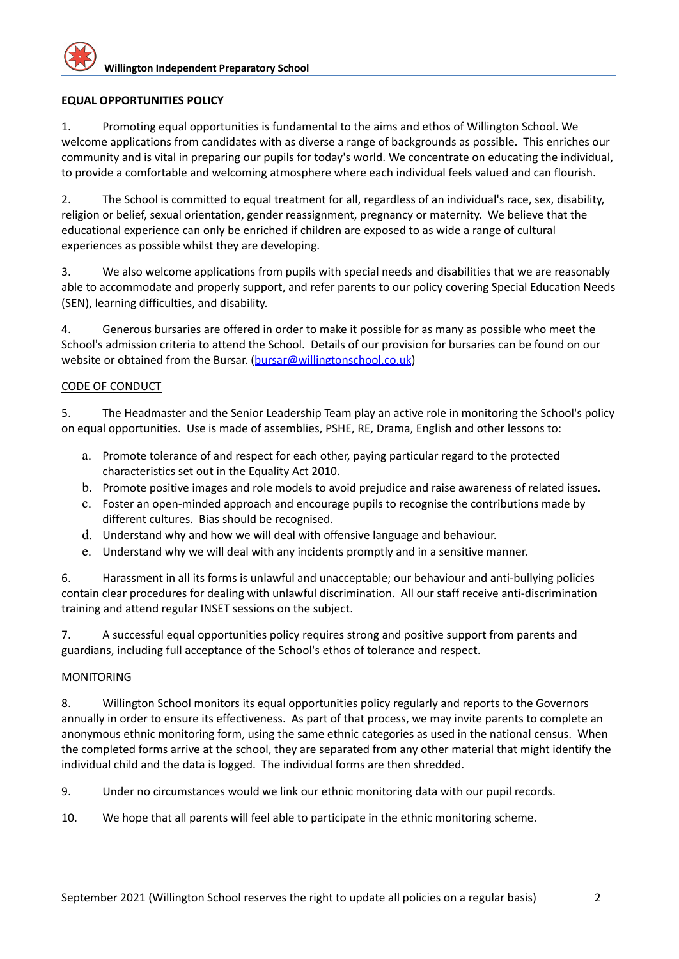## **EQUAL OPPORTUNITIES POLICY**

1. Promoting equal opportunities is fundamental to the aims and ethos of Willington School. We welcome applications from candidates with as diverse a range of backgrounds as possible. This enriches our community and is vital in preparing our pupils for today's world. We concentrate on educating the individual, to provide a comfortable and welcoming atmosphere where each individual feels valued and can flourish.

2. The School is committed to equal treatment for all, regardless of an individual's race, sex, disability, religion or belief, sexual orientation, gender reassignment, pregnancy or maternity. We believe that the educational experience can only be enriched if children are exposed to as wide a range of cultural experiences as possible whilst they are developing.

3. We also welcome applications from pupils with special needs and disabilities that we are reasonably able to accommodate and properly support, and refer parents to our policy covering Special Education Needs (SEN), learning difficulties, and disability.

4. Generous bursaries are offered in order to make it possible for as many as possible who meet the School's admission criteria to attend the School. Details of our provision for bursaries can be found on our website or obtained from the Bursar. ([bursar@willingtonschool.co.uk](mailto:bursar@willingtonschool.co.uk))

### CODE OF CONDUCT

5. The Headmaster and the Senior Leadership Team play an active role in monitoring the School's policy on equal opportunities. Use is made of assemblies, PSHE, RE, Drama, English and other lessons to:

- a. Promote tolerance of and respect for each other, paying particular regard to the protected characteristics set out in the Equality Act 2010.
- b. Promote positive images and role models to avoid prejudice and raise awareness of related issues.
- c. Foster an open-minded approach and encourage pupils to recognise the contributions made by different cultures. Bias should be recognised.
- d. Understand why and how we will deal with offensive language and behaviour.
- e. Understand why we will deal with any incidents promptly and in a sensitive manner.

6. Harassment in all its forms is unlawful and unacceptable; our behaviour and anti-bullying policies contain clear procedures for dealing with unlawful discrimination. All our staff receive anti-discrimination training and attend regular INSET sessions on the subject.

7. A successful equal opportunities policy requires strong and positive support from parents and guardians, including full acceptance of the School's ethos of tolerance and respect.

#### MONITORING

8. Willington School monitors its equal opportunities policy regularly and reports to the Governors annually in order to ensure its effectiveness. As part of that process, we may invite parents to complete an anonymous ethnic monitoring form, using the same ethnic categories as used in the national census. When the completed forms arrive at the school, they are separated from any other material that might identify the individual child and the data is logged. The individual forms are then shredded.

9. Under no circumstances would we link our ethnic monitoring data with our pupil records.

10. We hope that all parents will feel able to participate in the ethnic monitoring scheme.